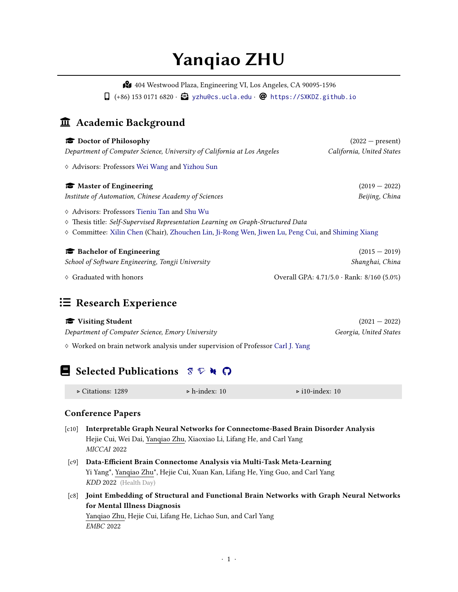# **Yanqiao ZHU**

̨ 404 Westwood Plaza, Engineering VI, Los Angeles, CA 90095-1596  $\Box$  (+86) 153 0171 6820 ·  $\bigodot$  [yzhu@cs.ucla.edu](mailto:yzhu@cs.ucla.edu) · @ <https://SXKDZ.github.io>

### $\hat{\mathbf{\textbf{m}}}$  Academic Background

| Doctor of Philosophy                                                                                                                      | $(2022 - present)$                                  |
|-------------------------------------------------------------------------------------------------------------------------------------------|-----------------------------------------------------|
| Department of Computer Science, University of California at Los Angeles                                                                   | California, United States                           |
| ♦ Advisors: Professors Wei Wang and Yizhou Sun                                                                                            |                                                     |
| <b>Master of Engineering</b>                                                                                                              | $(2019 - 2022)$                                     |
| Institute of Automation, Chinese Academy of Sciences                                                                                      | Beijing, China                                      |
| $\diamond$ Advisors: Professors Tieniu Tan and Shu Wu<br>♦ Thesis title: Self-Supervised Representation Learning on Graph-Structured Data |                                                     |
| $\diamond$ Committee: Xilin Chen (Chair), Zhouchen Lin, Ji-Rong Wen, Jiwen Lu, Peng Cui, and Shiming Xiang                                |                                                     |
| <b>Bachelor of Engineering</b>                                                                                                            | $(2015 - 2019)$                                     |
| School of Software Engineering, Tongji University                                                                                         | Shanghai, China                                     |
| $\diamond$ Graduated with honors                                                                                                          | Overall GPA: $4.71/5.0 \cdot$ Rank: $8/160 (5.0\%)$ |

### $≔$  **Research Experience**

| Visiting Student                                 | $(2021 - 2022)$        |
|--------------------------------------------------|------------------------|
| Department of Computer Science, Emory University | Georgia, United States |

♢ Worked on brain network analysis under supervision of Professor [Carl J. Yang](https://www.cs.emory.edu/~jyang71/)

## **Selected Public[a](https://github.com/SXKDZ)tions**  $\mathcal{F} \nabla \mathbf{A}$  $\Omega$

| $\triangleright$ Citations: 1289 | $\triangleright$ h-index: 10 | $\triangleright$ i10-index: 10 |  |
|----------------------------------|------------------------------|--------------------------------|--|
|----------------------------------|------------------------------|--------------------------------|--|

### **Conference Papers**

- [c10] **Interpretable Graph Neural Networks for Connectome-Based Brain Disorder Analysis** Hejie Cui, Wei Dai, Yanqiao Zhu, Xiaoxiao Li, Lifang He, and Carl Yang *MICCAI* 2022
- [c9] **Data-Efficient Brain Connectome Analysis via Multi-Task Meta-Learning** Yi Yang\*, Yanqiao Zhu\*, Hejie Cui, Xuan Kan, Lifang He, Ying Guo, and Carl Yang *KDD* 2022 (Health Day)
- [c8] **Joint Embedding of Structural and Functional Brain Networks with Graph Neural Networks for Mental Illness Diagnosis**

Yanqiao Zhu, Hejie Cui, Lifang He, Lichao Sun, and Carl Yang *EMBC* 2022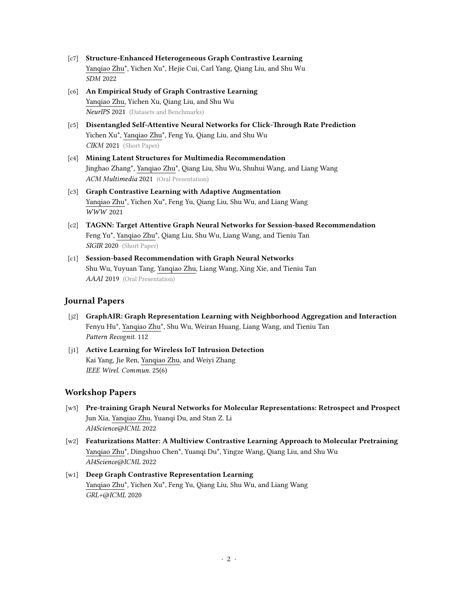- [c7] **Structure-Enhanced Heterogeneous Graph Contrastive Learning** Yanqiao Zhu\*, Yichen Xu\*, Hejie Cui, Carl Yang, Qiang Liu, and Shu Wu *SDM* 2022
- [c6] **An Empirical Study of Graph Contrastive Learning** Yanqiao Zhu, Yichen Xu, Qiang Liu, and Shu Wu *NeurIPS* 2021 (Datasets and Benchmarks)
- [c5] **Disentangled Self-Attentive Neural Networks for Click-Through Rate Prediction** Yichen Xu\*, Yanqiao Zhu\*, Feng Yu, Qiang Liu, and Shu Wu *CIKM* 2021 (Short Paper)
- [c4] **Mining Latent Structures for Multimedia Recommendation** Jinghao Zhang\*, Yanqiao Zhu\*, Qiang Liu, Shu Wu, Shuhui Wang, and Liang Wang *ACM Multimedia* 2021 (Oral Presentation)
- [c3] **Graph Contrastive Learning with Adaptive Augmentation** Yanqiao Zhu\*, Yichen Xu\*, Feng Yu, Qiang Liu, Shu Wu, and Liang Wang *WWW* 2021
- [c2] **TAGNN: Target Attentive Graph Neural Networks for Session-based Recommendation** Feng Yu\*, Yanqiao Zhu\*, Qiang Liu, Shu Wu, Liang Wang, and Tieniu Tan *SIGIR* 2020 (Short Paper)
- [c1] **Session-based Recommendation with Graph Neural Networks** Shu Wu, Yuyuan Tang, Yanqiao Zhu, Liang Wang, Xing Xie, and Tieniu Tan *AAAI* 2019 (Oral Presentation)

### **Journal Papers**

- [j2] **GraphAIR: Graph Representation Learning with Neighborhood Aggregation and Interaction** Fenyu Hu\*, Yanqiao Zhu\*, Shu Wu, Weiran Huang, Liang Wang, and Tieniu Tan *Pattern Recognit.* 112
- [j1] **Active Learning for Wireless IoT Intrusion Detection** Kai Yang, Jie Ren, Yanqiao Zhu, and Weiyi Zhang *IEEE Wirel. Commun.* 25(6)

### **Workshop Papers**

- [w3] **Pre-training Graph Neural Networks for Molecular Representations: Retrospect and Prospect** Jun Xia, Yanqiao Zhu, Yuanqi Du, and Stan Z. Li *AI4Science*@*ICML* 2022
- [w2] **Featurizations Matter: A Multiview Contrastive Learning Approach to Molecular Pretraining** Yanqiao Zhu\*, Dingshuo Chen\*, Yuanqi Du\*, Yingze Wang, Qiang Liu, and Shu Wu *AI4Science*@*ICML* 2022
- [w1] **Deep Graph Contrastive Representation Learning** Yanqiao Zhu\*, Yichen Xu\*, Feng Yu, Qiang Liu, Shu Wu, and Liang Wang *GRL+*@*ICML* 2020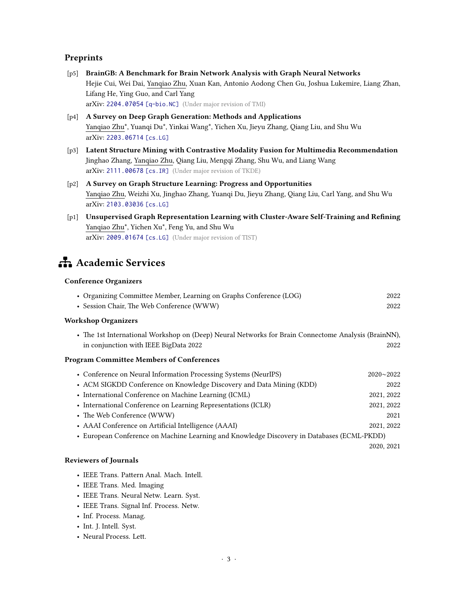### **Preprints**

- [p5] **BrainGB: A Benchmark for Brain Network Analysis with Graph Neural Networks** Hejie Cui, Wei Dai, Yanqiao Zhu, Xuan Kan, Antonio Aodong Chen Gu, Joshua Lukemire, Liang Zhan, Lifang He, Ying Guo, and Carl Yang arXiv: [2204.07054](https://arxiv.org/abs/2204.07054) [q-bio.NC] (Under major revision of TMI)
- [p4] **A Survey on Deep Graph Generation: Methods and Applications** Yanqiao Zhu\*, Yuanqi Du\*, Yinkai Wang\*, Yichen Xu, Jieyu Zhang, Qiang Liu, and Shu Wu arXiv: [2203.06714](https://arxiv.org/abs/2203.06714) [cs.LG]
- [p3] **Latent Structure Mining with Contrastive Modality Fusion for Multimedia Recommendation** Jinghao Zhang, Yanqiao Zhu, Qiang Liu, Mengqi Zhang, Shu Wu, and Liang Wang arXiv: [2111.00678](https://arxiv.org/abs/2111.00678) [cs.IR] (Under major revision of TKDE)
- [p2] **A Survey on Graph Structure Learning: Progress and Opportunities** Yanqiao Zhu, Weizhi Xu, Jinghao Zhang, Yuanqi Du, Jieyu Zhang, Qiang Liu, Carl Yang, and Shu Wu arXiv: [2103.03036](https://arxiv.org/abs/2103.03036) [cs.LG]
- [p1] **Unsupervised Graph Representation Learning with Cluster-Aware Self-Training and Refining** Yanqiao Zhu\*, Yichen Xu\*, Feng Yu, and Shu Wu arXiv: [2009.01674](https://arxiv.org/abs/2009.01674) [cs.LG] (Under major revision of TIST)

# **formal Academic Services**

### **Conference Organizers**

| • Organizing Committee Member, Learning on Graphs Conference (LOG) | 2022 |
|--------------------------------------------------------------------|------|
| • Session Chair, The Web Conference (WWW)                          | 2022 |

#### **Workshop Organizers**

• The 1st International Workshop on (Deep) Neural Networks for Brain Connectome Analysis (BrainNN), in conjunction with IEEE BigData 2022 2022

#### **Program Committee Members of Conferences**

| • Conference on Neural Information Processing Systems (NeurIPS)                            | $2020 - 2022$ |
|--------------------------------------------------------------------------------------------|---------------|
| • ACM SIGKDD Conference on Knowledge Discovery and Data Mining (KDD)                       | 2022          |
| • International Conference on Machine Learning (ICML)                                      | 2021, 2022    |
| • International Conference on Learning Representations (ICLR)                              | 2021, 2022    |
| • The Web Conference (WWW)                                                                 | 2021          |
| • AAAI Conference on Artificial Intelligence (AAAI)                                        | 2021, 2022    |
| • European Conference on Machine Learning and Knowledge Discovery in Databases (ECML-PKDD) |               |
|                                                                                            | 2020, 2021    |

### **Reviewers of Journals**

- IEEE Trans. Pattern Anal. Mach. Intell.
- IEEE Trans. Med. Imaging
- IEEE Trans. Neural Netw. Learn. Syst.
- IEEE Trans. Signal Inf. Process. Netw.
- Inf. Process. Manag.
- Int. J. Intell. Syst.
- Neural Process. Lett.